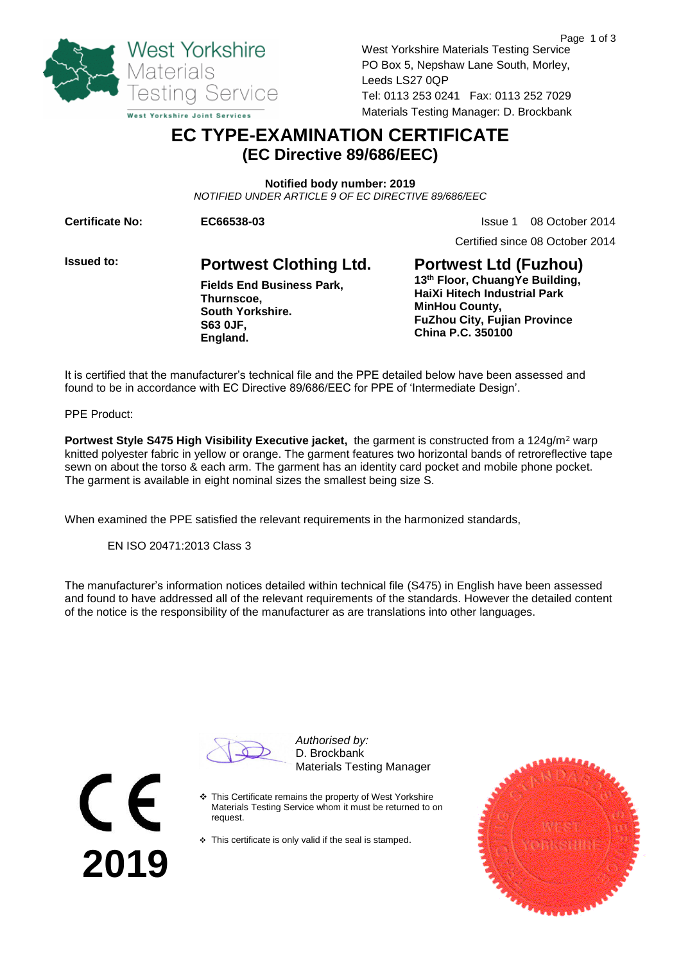

West Yorkshire Materials Testing Service PO Box 5, Nepshaw Lane South, Morley, Leeds LS27 0QP Tel: 0113 253 0241 Fax: 0113 252 7029 Materials Testing Manager: D. Brockbank

## **EC TYPE-EXAMINATION CERTIFICATE (EC Directive 89/686/EEC)**

**Notified body number: 2019** *NOTIFIED UNDER ARTICLE 9 OF EC DIRECTIVE 89/686/EEC*

**Certificate No: 6 C66538-03 EC66538-03 ISSUE 1** 08 October 2014

Certified since 08 October 2014

**Issued to: Portwest Clothing Ltd. Fields End Business Park, Thurnscoe, South Yorkshire. S63 0JF, England.** 

**Portwest Ltd (Fuzhou) 13th Floor, ChuangYe Building, HaiXi Hitech Industrial Park MinHou County, FuZhou City, Fujian Province China P.C. 350100**

It is certified that the manufacturer's technical file and the PPE detailed below have been assessed and found to be in accordance with EC Directive 89/686/EEC for PPE of 'Intermediate Design'.

PPE Product:

**2019**

**Portwest Style S475 High Visibility Executive jacket, the garment is constructed from a 124g/m<sup>2</sup> warp** knitted polyester fabric in yellow or orange. The garment features two horizontal bands of retroreflective tape sewn on about the torso & each arm. The garment has an identity card pocket and mobile phone pocket. The garment is available in eight nominal sizes the smallest being size S.

When examined the PPE satisfied the relevant requirements in the harmonized standards,

EN ISO 20471:2013 Class 3

The manufacturer's information notices detailed within technical file (S475) in English have been assessed and found to have addressed all of the relevant requirements of the standards. However the detailed content of the notice is the responsibility of the manufacturer as are translations into other languages.

*Authorised by:* D. Brockbank Materials Testing Manager

- This Certificate remains the property of West Yorkshire Materials Testing Service whom it must be returned to on request.
- $\div$  This certificate is only valid if the seal is stamped.

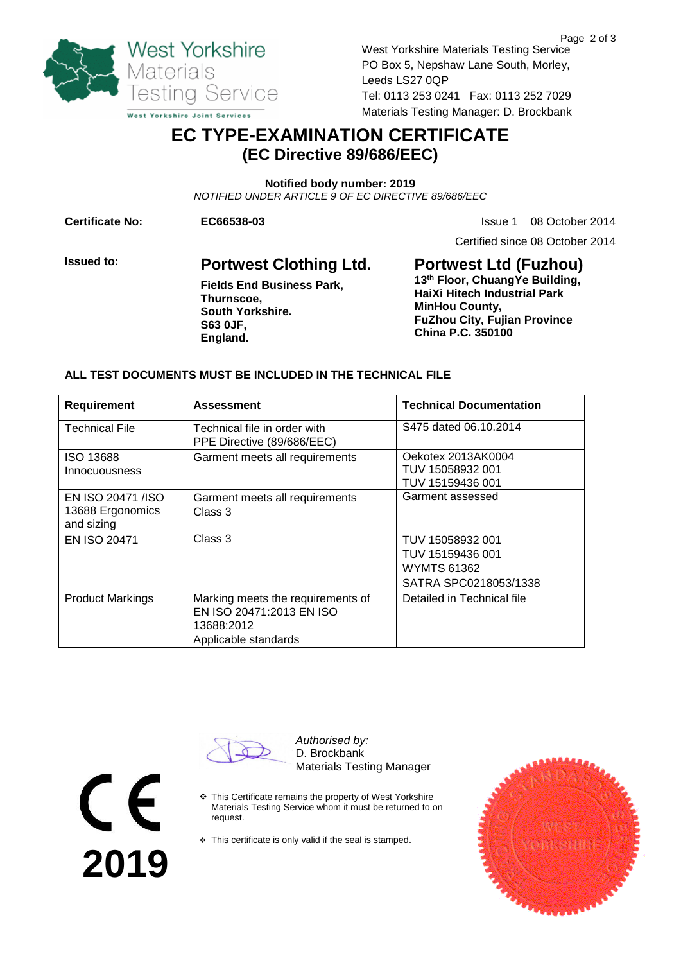

West Yorkshire Materials Testing Service PO Box 5, Nepshaw Lane South, Morley, Leeds LS27 0QP Tel: 0113 253 0241 Fax: 0113 252 7029 Materials Testing Manager: D. Brockbank

# **EC TYPE-EXAMINATION CERTIFICATE (EC Directive 89/686/EEC)**

**Notified body number: 2019** *NOTIFIED UNDER ARTICLE 9 OF EC DIRECTIVE 89/686/EEC*

**Certificate No: 6 CC66538-03 EC66538-03 ISSUE 1** 08 October 2014

Certified since 08 October 2014

**Issued to: Portwest Clothing Ltd. Fields End Business Park, Thurnscoe, South Yorkshire. S63 0JF, England.** 

**Portwest Ltd (Fuzhou) 13th Floor, ChuangYe Building, HaiXi Hitech Industrial Park MinHou County, FuZhou City, Fujian Province China P.C. 350100**

#### **ALL TEST DOCUMENTS MUST BE INCLUDED IN THE TECHNICAL FILE**

| Requirement                                         | <b>Assessment</b>                                                                                   | <b>Technical Documentation</b>                                               |
|-----------------------------------------------------|-----------------------------------------------------------------------------------------------------|------------------------------------------------------------------------------|
| <b>Technical File</b>                               | Technical file in order with<br>PPE Directive (89/686/EEC)                                          | S475 dated 06.10.2014                                                        |
| <b>ISO 13688</b><br>Innocuousness                   | Garment meets all requirements                                                                      | Oekotex 2013AK0004<br>TUV 15058932 001<br>TUV 15159436 001                   |
| EN ISO 20471 /ISO<br>13688 Ergonomics<br>and sizing | Garment meets all requirements<br>Class 3                                                           | Garment assessed                                                             |
| EN ISO 20471                                        | Class 3                                                                                             | TUV 15058932 001<br>TUV 15159436 001<br>WYMTS 61362<br>SATRA SPC0218053/1338 |
| <b>Product Markings</b>                             | Marking meets the requirements of<br>EN ISO 20471:2013 EN ISO<br>13688:2012<br>Applicable standards | Detailed in Technical file                                                   |

**2019**

*Authorised by:* D. Brockbank Materials Testing Manager

- \* This Certificate remains the property of West Yorkshire Materials Testing Service whom it must be returned to on request.
- $\triangle$  This certificate is only valid if the seal is stamped.



Page 2 of 3